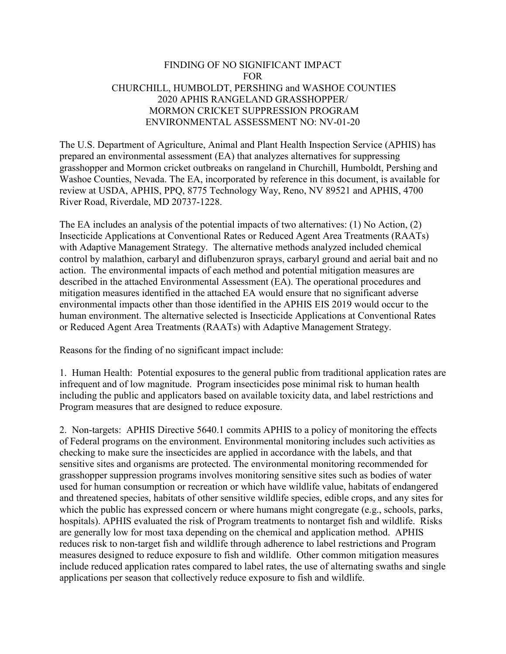## FINDING OF NO SIGNIFICANT IMPACT FOR CHURCHILL, HUMBOLDT, PERSHING and WASHOE COUNTIES 2020 APHIS RANGELAND GRASSHOPPER/ MORMON CRICKET SUPPRESSION PROGRAM ENVIRONMENTAL ASSESSMENT NO: NV-01-20

The U.S. Department of Agriculture, Animal and Plant Health Inspection Service (APHIS) has prepared an environmental assessment (EA) that analyzes alternatives for suppressing grasshopper and Mormon cricket outbreaks on rangeland in Churchill, Humboldt, Pershing and Washoe Counties, Nevada. The EA, incorporated by reference in this document, is available for review at USDA, APHIS, PPQ, 8775 Technology Way, Reno, NV 89521 and APHIS, 4700 River Road, Riverdale, MD 20737-1228.

The EA includes an analysis of the potential impacts of two alternatives: (1) No Action, (2) Insecticide Applications at Conventional Rates or Reduced Agent Area Treatments (RAATs) with Adaptive Management Strategy. The alternative methods analyzed included chemical control by malathion, carbaryl and diflubenzuron sprays, carbaryl ground and aerial bait and no action. The environmental impacts of each method and potential mitigation measures are described in the attached Environmental Assessment (EA). The operational procedures and mitigation measures identified in the attached EA would ensure that no significant adverse environmental impacts other than those identified in the APHIS EIS 2019 would occur to the human environment. The alternative selected is Insecticide Applications at Conventional Rates or Reduced Agent Area Treatments (RAATs) with Adaptive Management Strategy.

Reasons for the finding of no significant impact include:

1. Human Health: Potential exposures to the general public from traditional application rates are infrequent and of low magnitude. Program insecticides pose minimal risk to human health including the public and applicators based on available toxicity data, and label restrictions and Program measures that are designed to reduce exposure.

2. Non-targets: APHIS Directive 5640.1 commits APHIS to a policy of monitoring the effects of Federal programs on the environment. Environmental monitoring includes such activities as checking to make sure the insecticides are applied in accordance with the labels, and that sensitive sites and organisms are protected. The environmental monitoring recommended for grasshopper suppression programs involves monitoring sensitive sites such as bodies of water used for human consumption or recreation or which have wildlife value, habitats of endangered and threatened species, habitats of other sensitive wildlife species, edible crops, and any sites for which the public has expressed concern or where humans might congregate (e.g., schools, parks, hospitals). APHIS evaluated the risk of Program treatments to nontarget fish and wildlife. Risks are generally low for most taxa depending on the chemical and application method. APHIS reduces risk to non-target fish and wildlife through adherence to label restrictions and Program measures designed to reduce exposure to fish and wildlife. Other common mitigation measures include reduced application rates compared to label rates, the use of alternating swaths and single applications per season that collectively reduce exposure to fish and wildlife.